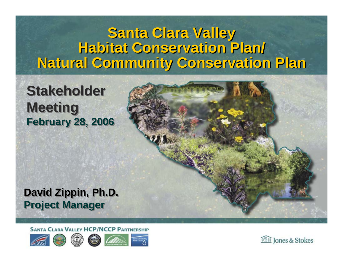#### **Santa Clara Valley Santa Clara Valley Habitat Conservation Plan/ Habitat Conservation Plan/ Natural Community Conservation Plan Natural Community Conservation Plan**

#### **Stakeholder Stakeholder Meeting Meeting February 28, 2006 February 28, 2006**



**SANTA CLARA VALLEY HCP/NCCP PARTNERSHIP** 



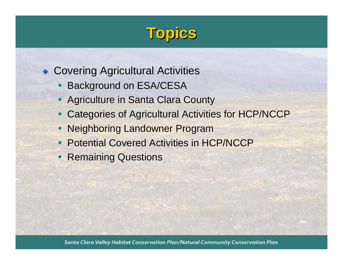# **Topics**

#### ◆ Covering Agricultural Activities

- $\bullet$ Background on ESA/CESA
- Agriculture in Santa Clara County
- Categories of Agricultural Activities for HCP/NCCP
- Neighboring Landowner Program
- Potential Covered Activities in HCP/NCCP
- Remaining Questions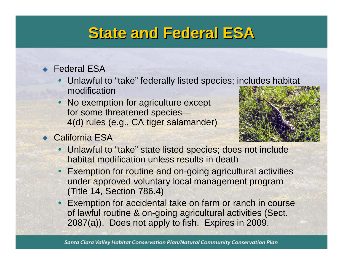#### **State and Federal ESA State and Federal ESA**

#### ◆ Federal ESA

- Unlawful to "take" federally listed species; includes habitat modification
- $\bullet$  No exemption for agriculture except for some threatened species— 4(d) rules (e.g., CA tiger salamander)
- ◆ California ESA



- Unlawful to "take" state listed species; does not include habitat modification unless results in death
- Exemption for routine and on-going agricultural activities under approved voluntary local management program (Title 14, Section 786.4)
- Exemption for accidental take on farm or ranch in course of lawful routine & on-going agricultural activities (Sect. 2087(a)). Does not apply to fish. Expires in 2009.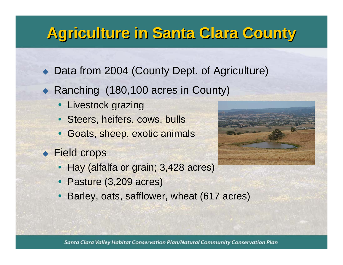# **Agriculture in Santa Clara County Agriculture in Santa Clara County**

- ◆ Data from 2004 (County Dept. of Agriculture)
- ◆ Ranching (180,100 acres in County)
	- Livestock grazing
	- Steers, heifers, cows, bulls
	- Goats, sheep, exotic animals
- ◆ Field crops
	- Hay (alfalfa or grain; 3,428 acres)
	- Pasture (3,209 acres)
	- Barley, oats, safflower, wheat (617 acres)



Santa Clara Valley Habitat Conservation Plan/Natural Community Conservation Plan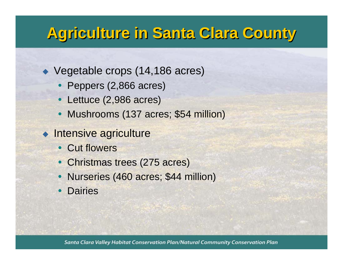## **Agriculture in Santa Clara County Agriculture in Santa Clara County**

- ◆ Vegetable crops (14,186 acres)
	- Peppers (2,866 acres)
	- Lettuce (2,986 acres)
	- Mushrooms (137 acres; \$54 million)
- ◆ Intensive agriculture
	- Cut flowers
	- Christmas trees (275 acres)
	- Nurseries (460 acres; \$44 million)
	- $\bullet$ **Dairies**

Santa Clara Valley Habitat Conservation Plan/Natural Community Conservation Plan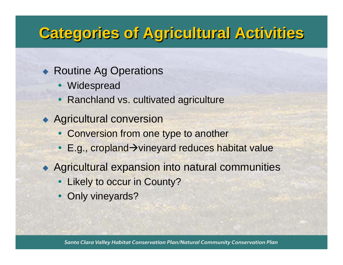## **Categories of Agricultural Activities Categories of Agricultural Activities**

#### ◆ Routine Ag Operations

- Widespread
- $\bullet$ Ranchland vs. cultivated agriculture
- ◆ Agricultural conversion
	- Conversion from one type to another
	- E.g., cropland→vineyard reduces habitat value
- Agricultural expansion into natural communities
	- Likely to occur in County?
	- Only vineyards?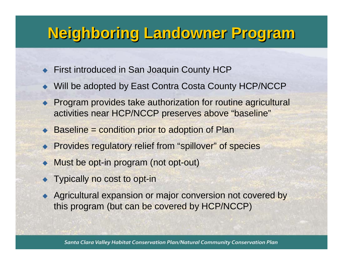## **Neighboring Landowner Program Neighboring Landowner Program**

- ◆ First introduced in San Joaquin County HCP
- ◆ Will be adopted by East Contra Costa County HCP/NCCP
- ◆ Program provides take authorization for routine agricultural activities near HCP/NCCP preserves above "baseline"
- ◆ Baseline = condition prior to adoption of Plan
- **Provides regulatory relief from "spillover" of species**
- $\blacklozenge$ Must be opt-in program (not opt-out)
- $\blacklozenge$ Typically no cost to opt-in
- ◆ Agricultural expansion or major conversion not covered by this program (but can be covered by HCP/NCCP)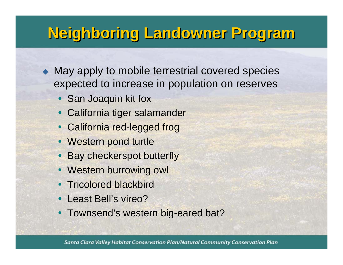# **Neighboring Landowner Program Neighboring Landowner Program**

• May apply to mobile terrestrial covered species expected to increase in population on reserves

- San Joaquin kit fox
- California tiger salamander
- California red-legged frog
- Western pond turtle
- Bay checkerspot butterfly
- Western burrowing owl
- Tricolored blackbird
- $\bullet$ Least Bell's vireo?
- Townsend's western big-eared bat?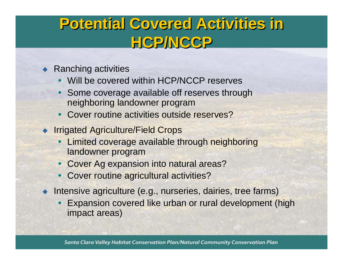## **Potential Covered Activities in Potential Covered Activities in HCP/NCCP HCP/NCCP**

- ◆ Ranching activities
	- Will be covered within HCP/NCCP reserves
	- $\bullet$ • Some coverage available off reserves through neighboring landowner program
	- Cover routine activities outside reserves?
- **Irrigated Agriculture/Field Crops** 
	- Limited coverage available through neighboring landowner program
	- Cover Ag expansion into natural areas?
	- Cover routine agricultural activities?
- $\bullet$  Intensive agriculture (e.g., nurseries, dairies, tree farms)
	- Expansion covered like urban or rural development (high impact areas)